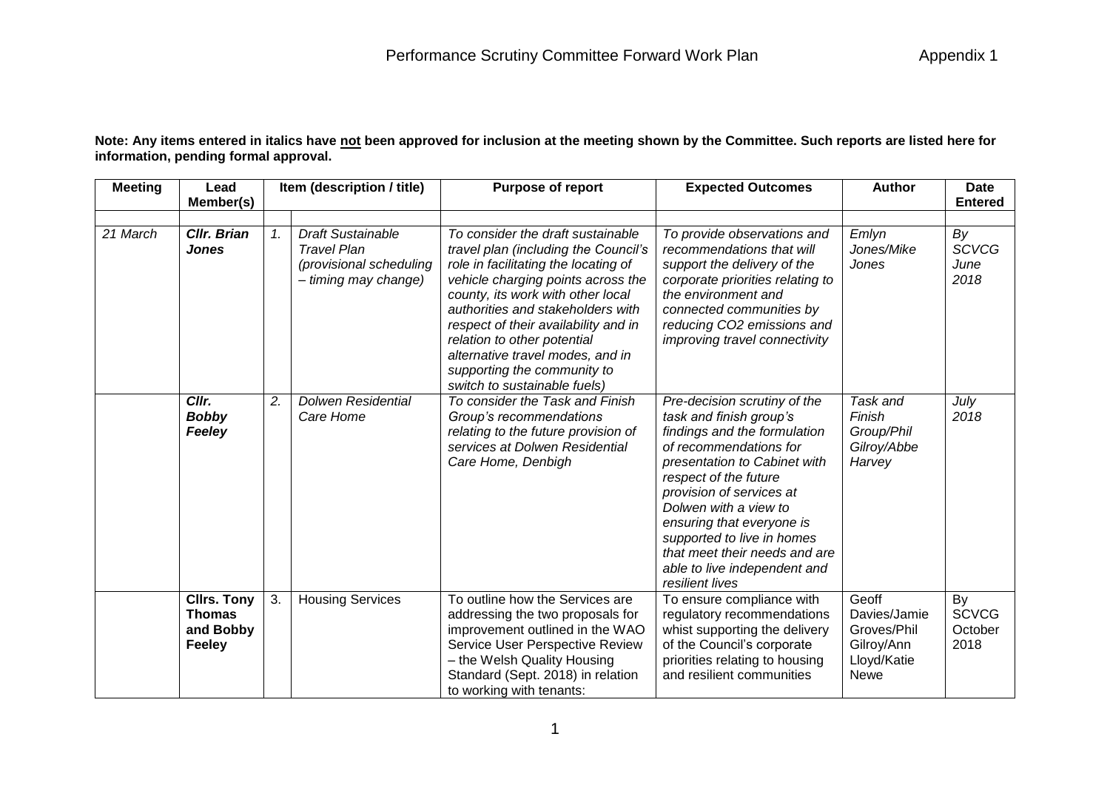**Note: Any items entered in italics have not been approved for inclusion at the meeting shown by the Committee. Such reports are listed here for information, pending formal approval.**

| <b>Meeting</b> | Lead<br>Member(s)                                                 |         | Item (description / title)                                                                        | <b>Purpose of report</b>                                                                                                                                                                                                                                                                                                                                                                                    | <b>Expected Outcomes</b>                                                                                                                                                                                                                                                                                                                                                       | <b>Author</b>                                                                    | <b>Date</b><br><b>Entered</b>         |
|----------------|-------------------------------------------------------------------|---------|---------------------------------------------------------------------------------------------------|-------------------------------------------------------------------------------------------------------------------------------------------------------------------------------------------------------------------------------------------------------------------------------------------------------------------------------------------------------------------------------------------------------------|--------------------------------------------------------------------------------------------------------------------------------------------------------------------------------------------------------------------------------------------------------------------------------------------------------------------------------------------------------------------------------|----------------------------------------------------------------------------------|---------------------------------------|
| 21 March       | <b>CIIr. Brian</b><br><b>Jones</b>                                | $1_{-}$ | <b>Draft Sustainable</b><br><b>Travel Plan</b><br>(provisional scheduling<br>- timing may change) | To consider the draft sustainable<br>travel plan (including the Council's<br>role in facilitating the locating of<br>vehicle charging points across the<br>county, its work with other local<br>authorities and stakeholders with<br>respect of their availability and in<br>relation to other potential<br>alternative travel modes, and in<br>supporting the community to<br>switch to sustainable fuels) | To provide observations and<br>recommendations that will<br>support the delivery of the<br>corporate priorities relating to<br>the environment and<br>connected communities by<br>reducing CO2 emissions and<br>improving travel connectivity                                                                                                                                  | Emlyn<br>Jones/Mike<br>Jones                                                     | By<br><b>SCVCG</b><br>June<br>2018    |
|                | Cllr.<br><b>Bobby</b><br>Feeley                                   | 2.      | <b>Dolwen Residential</b><br>Care Home                                                            | To consider the Task and Finish<br>Group's recommendations<br>relating to the future provision of<br>services at Dolwen Residential<br>Care Home, Denbigh                                                                                                                                                                                                                                                   | Pre-decision scrutiny of the<br>task and finish group's<br>findings and the formulation<br>of recommendations for<br>presentation to Cabinet with<br>respect of the future<br>provision of services at<br>Dolwen with a view to<br>ensuring that everyone is<br>supported to live in homes<br>that meet their needs and are<br>able to live independent and<br>resilient lives | Task and<br>Finish<br>Group/Phil<br>Gilroy/Abbe<br>Harvey                        | July<br>2018                          |
|                | <b>Clirs. Tony</b><br><b>Thomas</b><br>and Bobby<br><b>Feeley</b> | 3.      | <b>Housing Services</b>                                                                           | To outline how the Services are<br>addressing the two proposals for<br>improvement outlined in the WAO<br>Service User Perspective Review<br>- the Welsh Quality Housing<br>Standard (Sept. 2018) in relation<br>to working with tenants:                                                                                                                                                                   | To ensure compliance with<br>regulatory recommendations<br>whist supporting the delivery<br>of the Council's corporate<br>priorities relating to housing<br>and resilient communities                                                                                                                                                                                          | Geoff<br>Davies/Jamie<br>Groves/Phil<br>Gilroy/Ann<br>Lloyd/Katie<br><b>Newe</b> | By<br><b>SCVCG</b><br>October<br>2018 |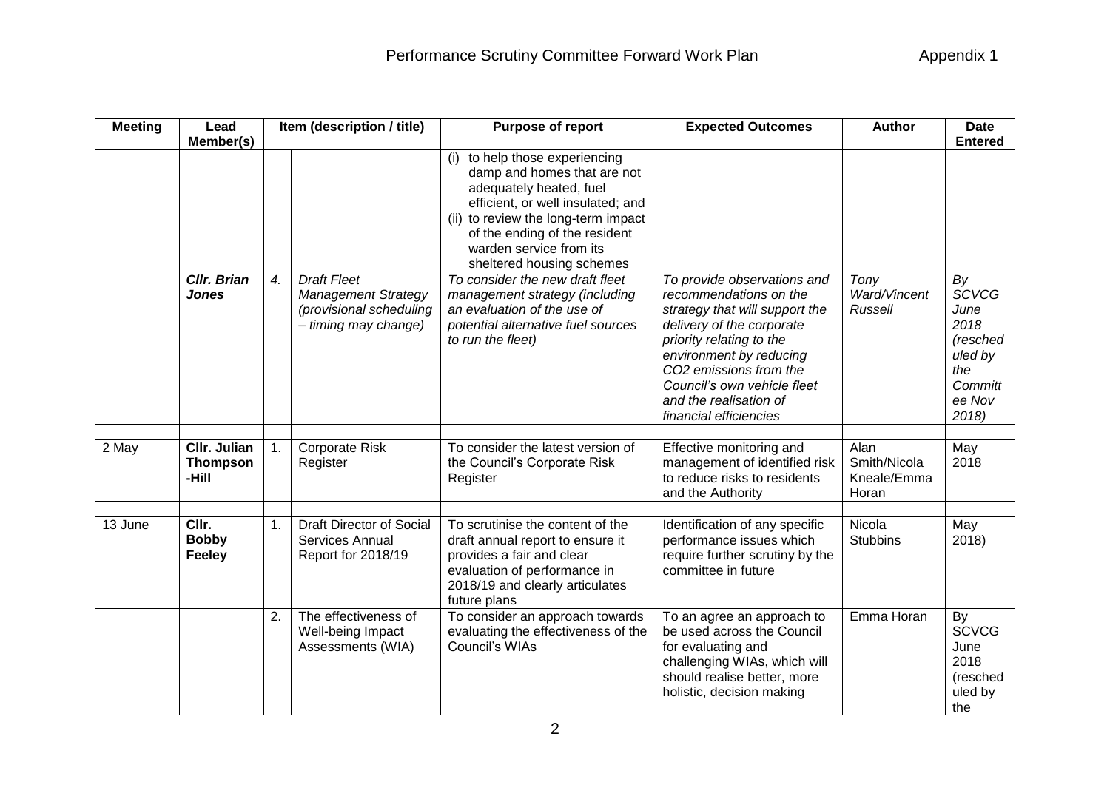| <b>Meeting</b> | Lead<br>Member(s)                               |    | Item (description / title)                                                                          | Purpose of report                                                                                                                                                                                                                                             | <b>Expected Outcomes</b>                                                                                                                                                                                                                                                                 | <b>Author</b>                                | <b>Date</b><br><b>Entered</b>                                                           |
|----------------|-------------------------------------------------|----|-----------------------------------------------------------------------------------------------------|---------------------------------------------------------------------------------------------------------------------------------------------------------------------------------------------------------------------------------------------------------------|------------------------------------------------------------------------------------------------------------------------------------------------------------------------------------------------------------------------------------------------------------------------------------------|----------------------------------------------|-----------------------------------------------------------------------------------------|
|                |                                                 |    |                                                                                                     | (i) to help those experiencing<br>damp and homes that are not<br>adequately heated, fuel<br>efficient, or well insulated; and<br>(ii) to review the long-term impact<br>of the ending of the resident<br>warden service from its<br>sheltered housing schemes |                                                                                                                                                                                                                                                                                          |                                              |                                                                                         |
|                | <b>Cllr. Brian</b><br><b>Jones</b>              | 4. | <b>Draft Fleet</b><br><b>Management Strategy</b><br>(provisional scheduling<br>- timing may change) | To consider the new draft fleet<br>management strategy (including<br>an evaluation of the use of<br>potential alternative fuel sources<br>to run the fleet)                                                                                                   | To provide observations and<br>recommendations on the<br>strategy that will support the<br>delivery of the corporate<br>priority relating to the<br>environment by reducing<br>CO2 emissions from the<br>Council's own vehicle fleet<br>and the realisation of<br>financial efficiencies | Tony<br>Ward/Vincent<br>Russell              | By<br>SCVCG<br>June<br>2018<br>(resched<br>uled by<br>the<br>Committ<br>ee Nov<br>2018) |
| 2 May          | <b>CIIr. Julian</b><br><b>Thompson</b><br>-Hill | 1. | <b>Corporate Risk</b><br>Register                                                                   | To consider the latest version of<br>the Council's Corporate Risk<br>Register                                                                                                                                                                                 | Effective monitoring and<br>management of identified risk<br>to reduce risks to residents<br>and the Authority                                                                                                                                                                           | Alan<br>Smith/Nicola<br>Kneale/Emma<br>Horan | May<br>2018                                                                             |
| 13 June        | CIIr.<br><b>Bobby</b><br>Feeley                 | 1. | <b>Draft Director of Social</b><br>Services Annual<br>Report for 2018/19                            | To scrutinise the content of the<br>draft annual report to ensure it<br>provides a fair and clear<br>evaluation of performance in<br>2018/19 and clearly articulates<br>future plans                                                                          | Identification of any specific<br>performance issues which<br>require further scrutiny by the<br>committee in future                                                                                                                                                                     | Nicola<br><b>Stubbins</b>                    | May<br>2018)                                                                            |
|                |                                                 | 2. | The effectiveness of<br>Well-being Impact<br>Assessments (WIA)                                      | To consider an approach towards<br>evaluating the effectiveness of the<br>Council's WIAs                                                                                                                                                                      | To an agree an approach to<br>be used across the Council<br>for evaluating and<br>challenging WIAs, which will<br>should realise better, more<br>holistic, decision making                                                                                                               | Emma Horan                                   | By<br><b>SCVCG</b><br>June<br>2018<br>(resched<br>uled by<br>the                        |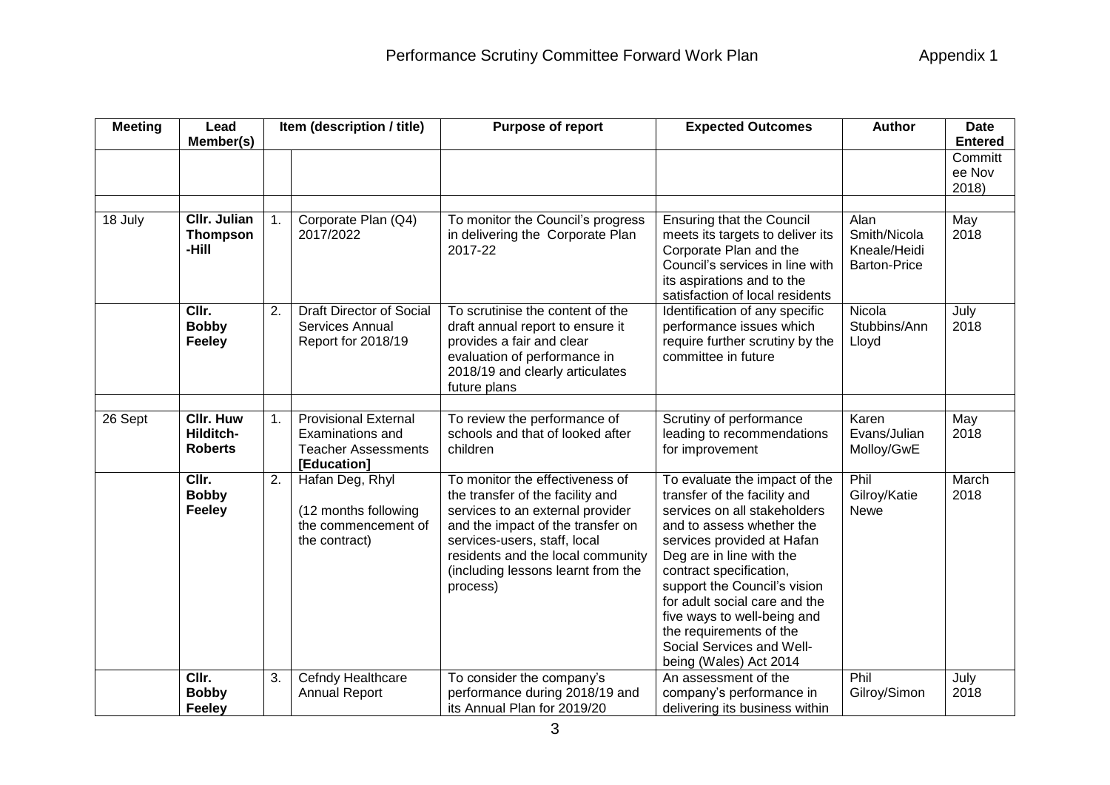| <b>Meeting</b> | Lead                                            |                  | Item (description / title)                                                                          | <b>Purpose of report</b>                                                                                                                                                                                                                                            | <b>Expected Outcomes</b>                                                                                                                                                                                                                                                                                                                                                                          | <b>Author</b>                                               | <b>Date</b>                                  |
|----------------|-------------------------------------------------|------------------|-----------------------------------------------------------------------------------------------------|---------------------------------------------------------------------------------------------------------------------------------------------------------------------------------------------------------------------------------------------------------------------|---------------------------------------------------------------------------------------------------------------------------------------------------------------------------------------------------------------------------------------------------------------------------------------------------------------------------------------------------------------------------------------------------|-------------------------------------------------------------|----------------------------------------------|
|                | Member(s)                                       |                  |                                                                                                     |                                                                                                                                                                                                                                                                     |                                                                                                                                                                                                                                                                                                                                                                                                   |                                                             | <b>Entered</b><br>Committ<br>ee Nov<br>2018) |
| 18 July        | <b>CIIr. Julian</b><br><b>Thompson</b><br>-Hill | 1.               | Corporate Plan (Q4)<br>2017/2022                                                                    | To monitor the Council's progress<br>in delivering the Corporate Plan<br>2017-22                                                                                                                                                                                    | <b>Ensuring that the Council</b><br>meets its targets to deliver its<br>Corporate Plan and the<br>Council's services in line with<br>its aspirations and to the<br>satisfaction of local residents                                                                                                                                                                                                | Alan<br>Smith/Nicola<br>Kneale/Heidi<br><b>Barton-Price</b> | May<br>2018                                  |
|                | CIIr.<br><b>Bobby</b><br><b>Feeley</b>          | 2.               | Draft Director of Social<br>Services Annual<br>Report for 2018/19                                   | To scrutinise the content of the<br>draft annual report to ensure it<br>provides a fair and clear<br>evaluation of performance in<br>2018/19 and clearly articulates<br>future plans                                                                                | Identification of any specific<br>performance issues which<br>require further scrutiny by the<br>committee in future                                                                                                                                                                                                                                                                              | Nicola<br>Stubbins/Ann<br>Lloyd                             | July<br>2018                                 |
| 26 Sept        | <b>CIIr. Huw</b><br>Hilditch-<br><b>Roberts</b> | 1.               | <b>Provisional External</b><br><b>Examinations and</b><br><b>Teacher Assessments</b><br>[Education] | To review the performance of<br>schools and that of looked after<br>children                                                                                                                                                                                        | Scrutiny of performance<br>leading to recommendations<br>for improvement                                                                                                                                                                                                                                                                                                                          | Karen<br>Evans/Julian<br>Molloy/GwE                         | May<br>2018                                  |
|                | CIIr.<br><b>Bobby</b><br><b>Feeley</b>          | $\overline{2}$ . | Hafan Deg, Rhyl<br>(12 months following<br>the commencement of<br>the contract)                     | To monitor the effectiveness of<br>the transfer of the facility and<br>services to an external provider<br>and the impact of the transfer on<br>services-users, staff, local<br>residents and the local community<br>(including lessons learnt from the<br>process) | To evaluate the impact of the<br>transfer of the facility and<br>services on all stakeholders<br>and to assess whether the<br>services provided at Hafan<br>Deg are in line with the<br>contract specification,<br>support the Council's vision<br>for adult social care and the<br>five ways to well-being and<br>the requirements of the<br>Social Services and Well-<br>being (Wales) Act 2014 | Phil<br>Gilroy/Katie<br><b>Newe</b>                         | March<br>2018                                |
|                | CIIr.<br><b>Bobby</b><br>Feeley                 | 3.               | Cefndy Healthcare<br><b>Annual Report</b>                                                           | To consider the company's<br>performance during 2018/19 and<br>its Annual Plan for 2019/20                                                                                                                                                                          | An assessment of the<br>company's performance in<br>delivering its business within                                                                                                                                                                                                                                                                                                                | Phil<br>Gilroy/Simon                                        | July<br>2018                                 |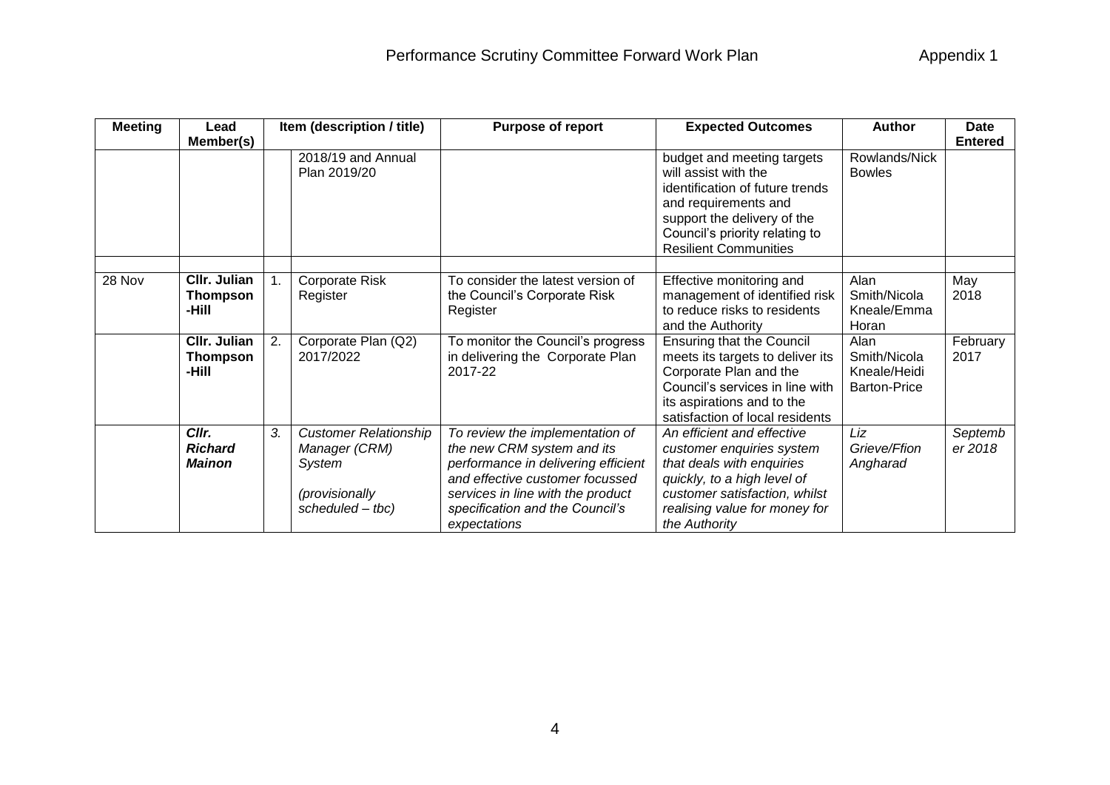| <b>Meeting</b> | Lead<br>Member(s)                        |    | Item (description / title)                                                                    | Purpose of report                                                                                                                                                                                                               | <b>Expected Outcomes</b>                                                                                                                                                                                       | <b>Author</b>                                               | <b>Date</b><br><b>Entered</b> |
|----------------|------------------------------------------|----|-----------------------------------------------------------------------------------------------|---------------------------------------------------------------------------------------------------------------------------------------------------------------------------------------------------------------------------------|----------------------------------------------------------------------------------------------------------------------------------------------------------------------------------------------------------------|-------------------------------------------------------------|-------------------------------|
|                |                                          |    | 2018/19 and Annual<br>Plan 2019/20                                                            |                                                                                                                                                                                                                                 | budget and meeting targets<br>will assist with the<br>identification of future trends<br>and requirements and<br>support the delivery of the<br>Council's priority relating to<br><b>Resilient Communities</b> | Rowlands/Nick<br><b>Bowles</b>                              |                               |
| 28 Nov         | CIIr. Julian<br><b>Thompson</b><br>-Hill |    | Corporate Risk<br>Register                                                                    | To consider the latest version of<br>the Council's Corporate Risk<br>Register                                                                                                                                                   | Effective monitoring and<br>management of identified risk<br>to reduce risks to residents<br>and the Authority                                                                                                 | Alan<br>Smith/Nicola<br>Kneale/Emma<br>Horan                | May<br>2018                   |
|                | CIIr. Julian<br><b>Thompson</b><br>-Hill | 2. | Corporate Plan (Q2)<br>2017/2022                                                              | To monitor the Council's progress<br>in delivering the Corporate Plan<br>2017-22                                                                                                                                                | <b>Ensuring that the Council</b><br>meets its targets to deliver its<br>Corporate Plan and the<br>Council's services in line with<br>its aspirations and to the<br>satisfaction of local residents             | Alan<br>Smith/Nicola<br>Kneale/Heidi<br><b>Barton-Price</b> | February<br>2017              |
|                | Cllr.<br><b>Richard</b><br><b>Mainon</b> | 3. | <b>Customer Relationship</b><br>Manager (CRM)<br>System<br>(provisionally<br>scheduled - tbc) | To review the implementation of<br>the new CRM system and its<br>performance in delivering efficient<br>and effective customer focussed<br>services in line with the product<br>specification and the Council's<br>expectations | An efficient and effective<br>customer enquiries system<br>that deals with enquiries<br>quickly, to a high level of<br>customer satisfaction, whilst<br>realising value for money for<br>the Authority         | Liz<br>Grieve/Ffion<br>Angharad                             | Septemb<br>er 2018            |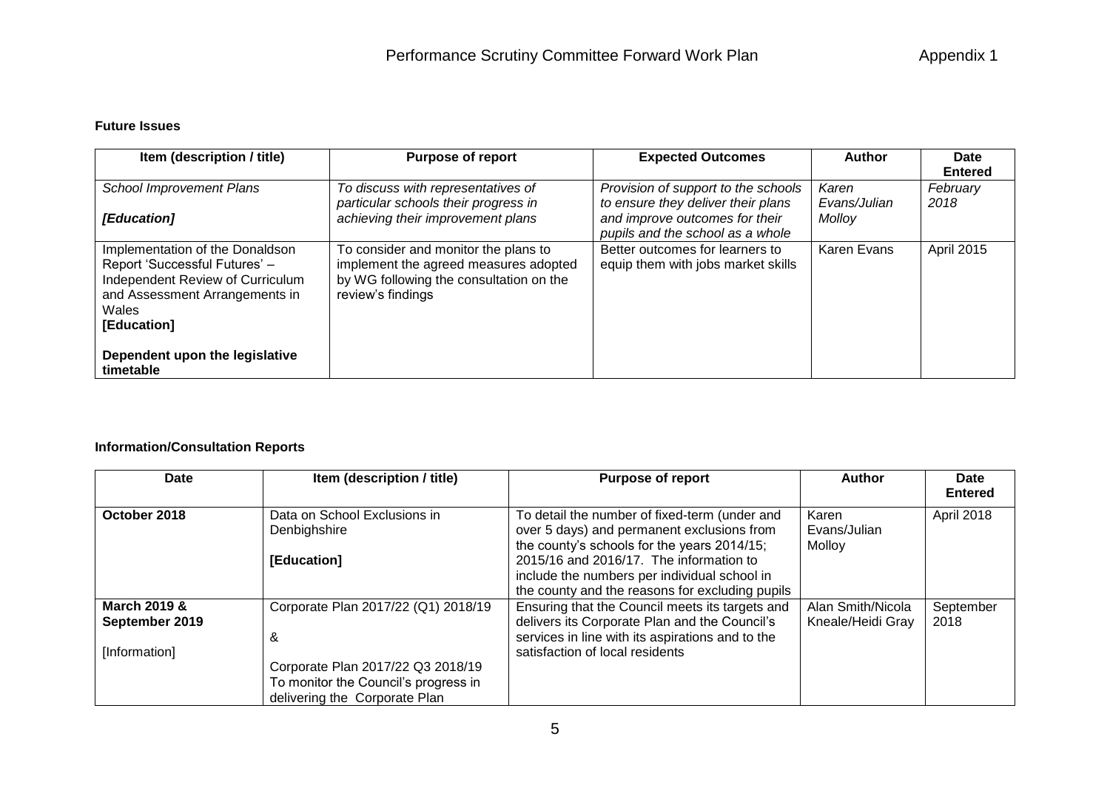## **Future Issues**

| Item (description / title)                                                                                                                                     | <b>Purpose of report</b>                                                                                                                      | <b>Expected Outcomes</b>                                                  | <b>Author</b>         | Date<br><b>Entered</b> |
|----------------------------------------------------------------------------------------------------------------------------------------------------------------|-----------------------------------------------------------------------------------------------------------------------------------------------|---------------------------------------------------------------------------|-----------------------|------------------------|
| <b>School Improvement Plans</b>                                                                                                                                | To discuss with representatives of<br>particular schools their progress in                                                                    | Provision of support to the schools<br>to ensure they deliver their plans | Karen<br>Evans/Julian | February<br>2018       |
| [Education]                                                                                                                                                    | achieving their improvement plans                                                                                                             | and improve outcomes for their<br>pupils and the school as a whole        | Molloy                |                        |
| Implementation of the Donaldson<br>Report 'Successful Futures' -<br>Independent Review of Curriculum<br>and Assessment Arrangements in<br>Wales<br>[Education] | To consider and monitor the plans to<br>implement the agreed measures adopted<br>by WG following the consultation on the<br>review's findings | Better outcomes for learners to<br>equip them with jobs market skills     | Karen Evans           | April 2015             |
| Dependent upon the legislative<br>timetable                                                                                                                    |                                                                                                                                               |                                                                           |                       |                        |

## **Information/Consultation Reports**

| Date                                      | Item (description / title)                                                                                 | <b>Purpose of report</b>                                                                                                                             | Author                                 | Date<br><b>Entered</b> |
|-------------------------------------------|------------------------------------------------------------------------------------------------------------|------------------------------------------------------------------------------------------------------------------------------------------------------|----------------------------------------|------------------------|
| October 2018                              | Data on School Exclusions in<br>Denbighshire                                                               | To detail the number of fixed-term (under and<br>over 5 days) and permanent exclusions from<br>the county's schools for the years 2014/15;           | Karen<br>Evans/Julian<br>Molloy        | April 2018             |
|                                           | [Education]                                                                                                | 2015/16 and 2016/17. The information to<br>include the numbers per individual school in<br>the county and the reasons for excluding pupils           |                                        |                        |
| <b>March 2019 &amp;</b><br>September 2019 | Corporate Plan 2017/22 (Q1) 2018/19<br>&                                                                   | Ensuring that the Council meets its targets and<br>delivers its Corporate Plan and the Council's<br>services in line with its aspirations and to the | Alan Smith/Nicola<br>Kneale/Heidi Gray | September<br>2018      |
| [Information]                             | Corporate Plan 2017/22 Q3 2018/19<br>To monitor the Council's progress in<br>delivering the Corporate Plan | satisfaction of local residents                                                                                                                      |                                        |                        |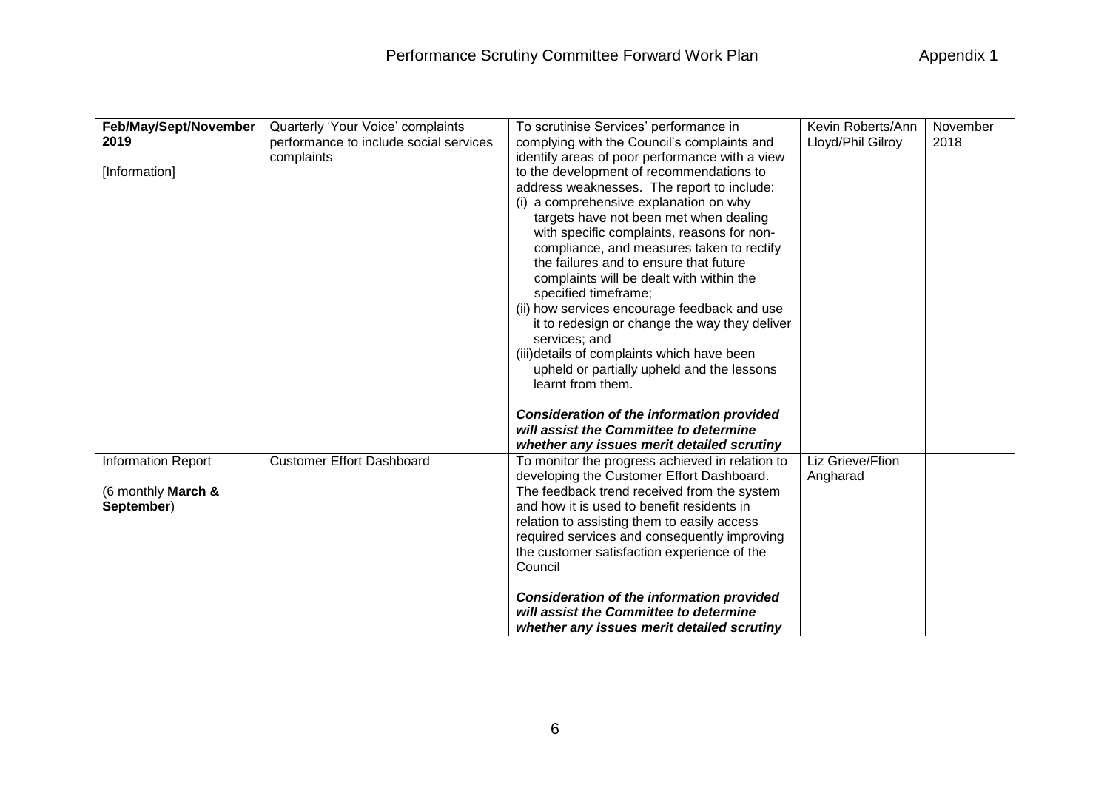| Feb/May/Sept/November     | Quarterly 'Your Voice' complaints      | To scrutinise Services' performance in           | Kevin Roberts/Ann | November |
|---------------------------|----------------------------------------|--------------------------------------------------|-------------------|----------|
| 2019                      | performance to include social services | complying with the Council's complaints and      | Lloyd/Phil Gilroy | 2018     |
|                           | complaints                             | identify areas of poor performance with a view   |                   |          |
| [Information]             |                                        | to the development of recommendations to         |                   |          |
|                           |                                        | address weaknesses. The report to include:       |                   |          |
|                           |                                        | (i) a comprehensive explanation on why           |                   |          |
|                           |                                        | targets have not been met when dealing           |                   |          |
|                           |                                        | with specific complaints, reasons for non-       |                   |          |
|                           |                                        | compliance, and measures taken to rectify        |                   |          |
|                           |                                        | the failures and to ensure that future           |                   |          |
|                           |                                        | complaints will be dealt with within the         |                   |          |
|                           |                                        | specified timeframe;                             |                   |          |
|                           |                                        | (ii) how services encourage feedback and use     |                   |          |
|                           |                                        | it to redesign or change the way they deliver    |                   |          |
|                           |                                        | services; and                                    |                   |          |
|                           |                                        | (iii) details of complaints which have been      |                   |          |
|                           |                                        | upheld or partially upheld and the lessons       |                   |          |
|                           |                                        | learnt from them.                                |                   |          |
|                           |                                        |                                                  |                   |          |
|                           |                                        | <b>Consideration of the information provided</b> |                   |          |
|                           |                                        | will assist the Committee to determine           |                   |          |
|                           |                                        | whether any issues merit detailed scrutiny       |                   |          |
| <b>Information Report</b> | <b>Customer Effort Dashboard</b>       | To monitor the progress achieved in relation to  | Liz Grieve/Ffion  |          |
|                           |                                        | developing the Customer Effort Dashboard.        | Angharad          |          |
| (6 monthly March &        |                                        | The feedback trend received from the system      |                   |          |
| September)                |                                        | and how it is used to benefit residents in       |                   |          |
|                           |                                        | relation to assisting them to easily access      |                   |          |
|                           |                                        | required services and consequently improving     |                   |          |
|                           |                                        | the customer satisfaction experience of the      |                   |          |
|                           |                                        | Council                                          |                   |          |
|                           |                                        |                                                  |                   |          |
|                           |                                        | <b>Consideration of the information provided</b> |                   |          |
|                           |                                        | will assist the Committee to determine           |                   |          |
|                           |                                        | whether any issues merit detailed scrutiny       |                   |          |